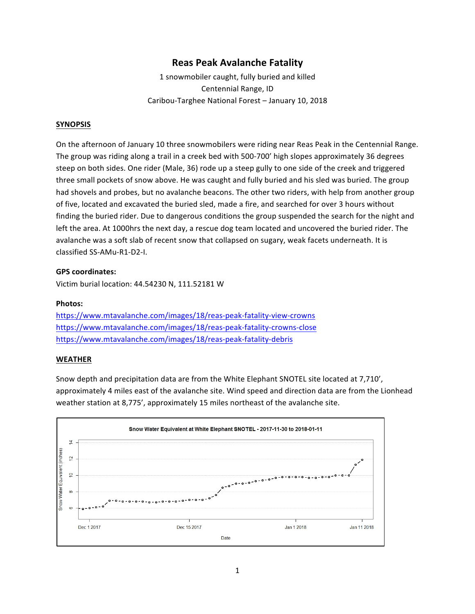# **Reas Peak Avalanche Fatality**

1 snowmobiler caught, fully buried and killed Centennial Range, ID Caribou-Targhee National Forest - January 10, 2018

### **SYNOPSIS**

On the afternoon of January 10 three snowmobilers were riding near Reas Peak in the Centennial Range. The group was riding along a trail in a creek bed with 500-700' high slopes approximately 36 degrees steep on both sides. One rider (Male, 36) rode up a steep gully to one side of the creek and triggered three small pockets of snow above. He was caught and fully buried and his sled was buried. The group had shovels and probes, but no avalanche beacons. The other two riders, with help from another group of five, located and excavated the buried sled, made a fire, and searched for over 3 hours without finding the buried rider. Due to dangerous conditions the group suspended the search for the night and left the area. At 1000hrs the next day, a rescue dog team located and uncovered the buried rider. The avalanche was a soft slab of recent snow that collapsed on sugary, weak facets underneath. It is classified SS-AMu-R1-D2-I.

### **GPS coordinates:**

Victim burial location: 44.54230 N, 111.52181 W

## **Photos:**

https://www.mtavalanche.com/images/18/reas-peak-fatality-view-crowns https://www.mtavalanche.com/images/18/reas-peak-fatality-crowns-close https://www.mtavalanche.com/images/18/reas-peak-fatality-debris

#### **WEATHER**

Snow depth and precipitation data are from the White Elephant SNOTEL site located at 7,710', approximately 4 miles east of the avalanche site. Wind speed and direction data are from the Lionhead weather station at 8,775', approximately 15 miles northeast of the avalanche site.

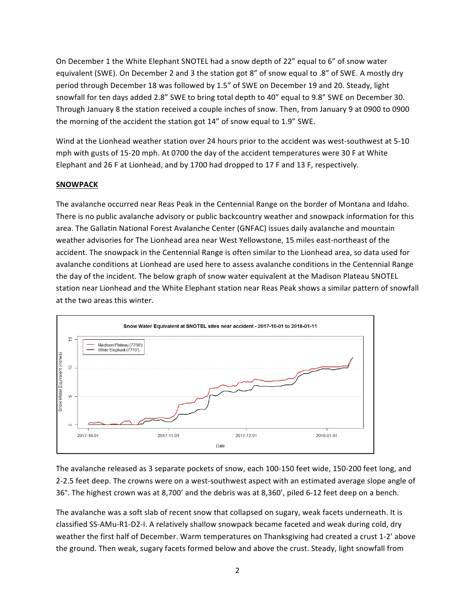On December 1 the White Elephant SNOTEL had a snow depth of 22" equal to 6" of snow water equivalent (SWE). On December 2 and 3 the station got 8" of snow equal to .8" of SWE. A mostly dry period through December 18 was followed by 1.5" of SWE on December 19 and 20. Steady, light snowfall for ten days added 2.8" SWE to bring total depth to 40" equal to 9.8" SWE on December 30. Through January 8 the station received a couple inches of snow. Then, from January 9 at 0900 to 0900 the morning of the accident the station got  $14''$  of snow equal to  $1.9''$  SWE.

Wind at the Lionhead weather station over 24 hours prior to the accident was west-southwest at 5-10 mph with gusts of 15-20 mph. At 0700 the day of the accident temperatures were 30 F at White Elephant and 26 F at Lionhead, and by 1700 had dropped to 17 F and 13 F, respectively.

## **SNOWPACK**

The avalanche occurred near Reas Peak in the Centennial Range on the border of Montana and Idaho. There is no public avalanche advisory or public backcountry weather and snowpack information for this area. The Gallatin National Forest Avalanche Center (GNFAC) issues daily avalanche and mountain weather advisories for The Lionhead area near West Yellowstone, 15 miles east-northeast of the accident. The snowpack in the Centennial Range is often similar to the Lionhead area, so data used for avalanche conditions at Lionhead are used here to assess avalanche conditions in the Centennial Range the day of the incident. The below graph of snow water equivalent at the Madison Plateau SNOTEL station near Lionhead and the White Elephant station near Reas Peak shows a similar pattern of snowfall at the two areas this winter.



The avalanche released as 3 separate pockets of snow, each 100-150 feet wide, 150-200 feet long, and 2-2.5 feet deep. The crowns were on a west-southwest aspect with an estimated average slope angle of 36°. The highest crown was at 8,700' and the debris was at 8,360', piled 6-12 feet deep on a bench.

The avalanche was a soft slab of recent snow that collapsed on sugary, weak facets underneath. It is classified SS-AMu-R1-D2-I. A relatively shallow snowpack became faceted and weak during cold, dry weather the first half of December. Warm temperatures on Thanksgiving had created a crust 1-2' above the ground. Then weak, sugary facets formed below and above the crust. Steady, light snowfall from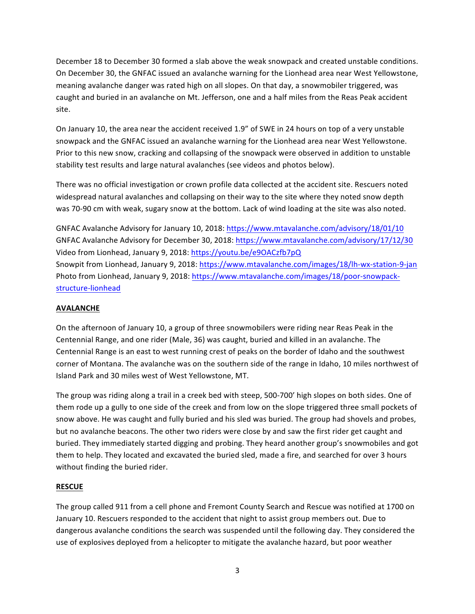December 18 to December 30 formed a slab above the weak snowpack and created unstable conditions. On December 30, the GNFAC issued an avalanche warning for the Lionhead area near West Yellowstone, meaning avalanche danger was rated high on all slopes. On that day, a snowmobiler triggered, was caught and buried in an avalanche on Mt. Jefferson, one and a half miles from the Reas Peak accident site. 

On January 10, the area near the accident received 1.9" of SWE in 24 hours on top of a very unstable snowpack and the GNFAC issued an avalanche warning for the Lionhead area near West Yellowstone. Prior to this new snow, cracking and collapsing of the snowpack were observed in addition to unstable stability test results and large natural avalanches (see videos and photos below).

There was no official investigation or crown profile data collected at the accident site. Rescuers noted widespread natural avalanches and collapsing on their way to the site where they noted snow depth was 70-90 cm with weak, sugary snow at the bottom. Lack of wind loading at the site was also noted.

GNFAC Avalanche Advisory for January 10, 2018: https://www.mtavalanche.com/advisory/18/01/10 GNFAC Avalanche Advisory for December 30, 2018: https://www.mtavalanche.com/advisory/17/12/30 Video from Lionhead, January 9, 2018: https://youtu.be/e9OACzfb7pQ Snowpit from Lionhead, January 9, 2018: https://www.mtavalanche.com/images/18/lh-wx-station-9-jan Photo from Lionhead, January 9, 2018: https://www.mtavalanche.com/images/18/poor-snowpackstructure-lionhead

# **AVALANCHE**

On the afternoon of January 10, a group of three snowmobilers were riding near Reas Peak in the Centennial Range, and one rider (Male, 36) was caught, buried and killed in an avalanche. The Centennial Range is an east to west running crest of peaks on the border of Idaho and the southwest corner of Montana. The avalanche was on the southern side of the range in Idaho, 10 miles northwest of Island Park and 30 miles west of West Yellowstone, MT.

The group was riding along a trail in a creek bed with steep, 500-700' high slopes on both sides. One of them rode up a gully to one side of the creek and from low on the slope triggered three small pockets of snow above. He was caught and fully buried and his sled was buried. The group had shovels and probes, but no avalanche beacons. The other two riders were close by and saw the first rider get caught and buried. They immediately started digging and probing. They heard another group's snowmobiles and got them to help. They located and excavated the buried sled, made a fire, and searched for over 3 hours without finding the buried rider.

# **RESCUE**

The group called 911 from a cell phone and Fremont County Search and Rescue was notified at 1700 on January 10. Rescuers responded to the accident that night to assist group members out. Due to dangerous avalanche conditions the search was suspended until the following day. They considered the use of explosives deployed from a helicopter to mitigate the avalanche hazard, but poor weather